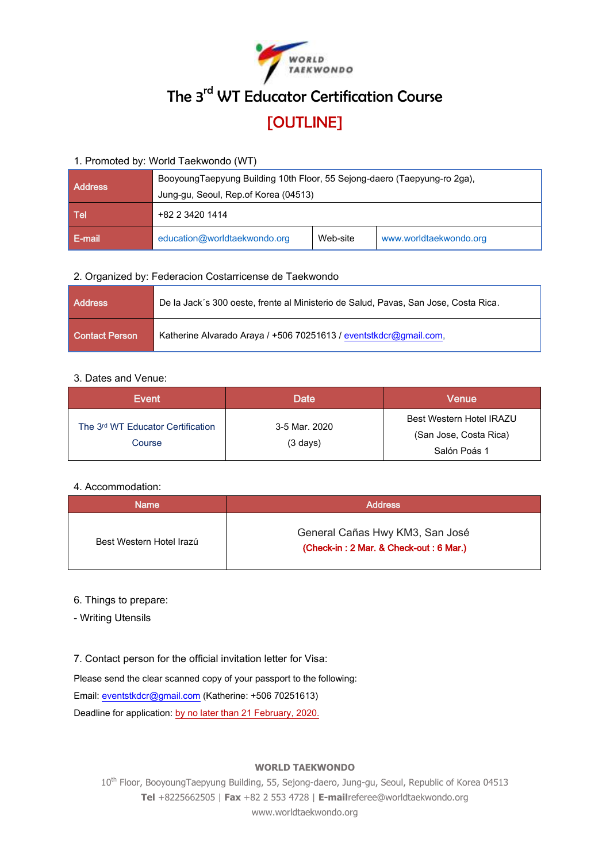

# The 3<sup>rd</sup> WT Educator Certification Course [OUTLINE]

#### 1. Promoted by: World Taekwondo (WT)

| <b>Address</b> | BooyoungTaepyung Building 10th Floor, 55 Sejong-daero (Taepyung-ro 2ga), |          |                        |
|----------------|--------------------------------------------------------------------------|----------|------------------------|
| Tel            | Jung-gu, Seoul, Rep.of Korea (04513)<br>+82 2 3420 1414                  |          |                        |
| E-mail         | education@worldtaekwondo.org                                             | Web-site | www.worldtaekwondo.org |

# 2. Organized by: Federacion Costarricense de Taekwondo

| <b>Address</b>        | De la Jack's 300 oeste, frente al Ministerio de Salud, Pavas, San Jose, Costa Rica. |  |
|-----------------------|-------------------------------------------------------------------------------------|--|
| <b>Contact Person</b> | Katherine Alvarado Araya / +506 70251613 / eventstkdcr@gmail.com.                   |  |

# 3. Dates and Venue:

| Event                                       | Date                                | Venue                                                              |
|---------------------------------------------|-------------------------------------|--------------------------------------------------------------------|
| The 3rd WT Educator Certification<br>Course | 3-5 Mar. 2020<br>$(3 \text{ days})$ | Best Western Hotel IRAZU<br>(San Jose, Costa Rica)<br>Salón Poás 1 |

# 4. Accommodation:

| <b>Name</b>              | <b>Address</b>                                                            |  |  |
|--------------------------|---------------------------------------------------------------------------|--|--|
| Best Western Hotel Irazú | General Cañas Hwy KM3, San José<br>(Check-in: 2 Mar. & Check-out: 6 Mar.) |  |  |

# 6. Things to prepare:

- Writing Utensils

# 7. Contact person for the official invitation letter for Visa:

Please send the clear scanned copy of your passport to the following:

Email[: eventstkdcr@gmail.com](mailto:eventstkdcr@gmail.com) (Katherine: +506 70251613)

Deadline for application: by no later than 21 February, 2020.

#### **WORLD TAEKWONDO**

10<sup>th</sup> Floor, BooyoungTaepyung Building, 55, Sejong-daero, Jung-gu, Seoul, Republic of Korea 04513 **Tel** +8225662505 | **Fax** +82 2 553 4728 | **E-mail**referee@worldtaekwondo.org www.worldtaekwondo.org